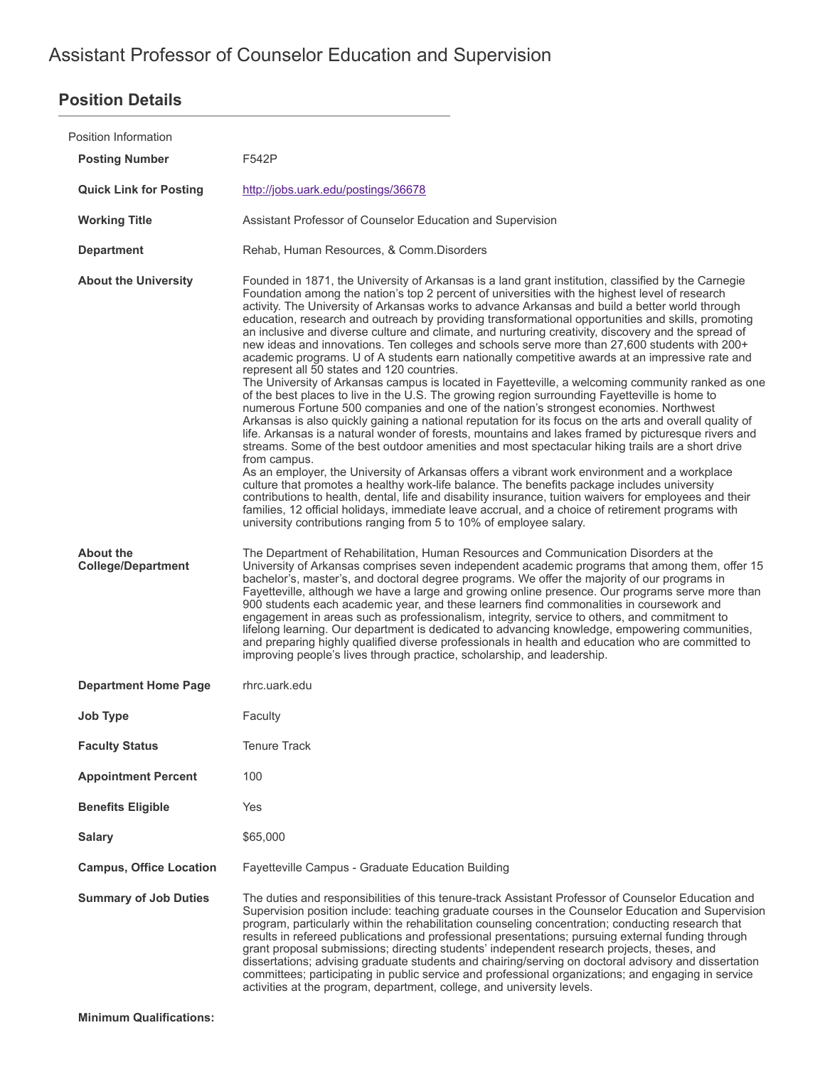# **Position Details**

| Position Information                          |                                                                                                                                                                                                                                                                                                                                                                                                                                                                                                                                                                                                                                                                                                                                                                                                                                                                                                                                                                                                                                                                                                                                                                                                                                                                                                                                                                                                                                                                                                                                                                                                                                                                                                                                                                                                                                                                                                   |
|-----------------------------------------------|---------------------------------------------------------------------------------------------------------------------------------------------------------------------------------------------------------------------------------------------------------------------------------------------------------------------------------------------------------------------------------------------------------------------------------------------------------------------------------------------------------------------------------------------------------------------------------------------------------------------------------------------------------------------------------------------------------------------------------------------------------------------------------------------------------------------------------------------------------------------------------------------------------------------------------------------------------------------------------------------------------------------------------------------------------------------------------------------------------------------------------------------------------------------------------------------------------------------------------------------------------------------------------------------------------------------------------------------------------------------------------------------------------------------------------------------------------------------------------------------------------------------------------------------------------------------------------------------------------------------------------------------------------------------------------------------------------------------------------------------------------------------------------------------------------------------------------------------------------------------------------------------------|
| <b>Posting Number</b>                         | F542P                                                                                                                                                                                                                                                                                                                                                                                                                                                                                                                                                                                                                                                                                                                                                                                                                                                                                                                                                                                                                                                                                                                                                                                                                                                                                                                                                                                                                                                                                                                                                                                                                                                                                                                                                                                                                                                                                             |
| <b>Quick Link for Posting</b>                 | http://jobs.uark.edu/postings/36678                                                                                                                                                                                                                                                                                                                                                                                                                                                                                                                                                                                                                                                                                                                                                                                                                                                                                                                                                                                                                                                                                                                                                                                                                                                                                                                                                                                                                                                                                                                                                                                                                                                                                                                                                                                                                                                               |
| <b>Working Title</b>                          | Assistant Professor of Counselor Education and Supervision                                                                                                                                                                                                                                                                                                                                                                                                                                                                                                                                                                                                                                                                                                                                                                                                                                                                                                                                                                                                                                                                                                                                                                                                                                                                                                                                                                                                                                                                                                                                                                                                                                                                                                                                                                                                                                        |
| <b>Department</b>                             | Rehab, Human Resources, & Comm.Disorders                                                                                                                                                                                                                                                                                                                                                                                                                                                                                                                                                                                                                                                                                                                                                                                                                                                                                                                                                                                                                                                                                                                                                                                                                                                                                                                                                                                                                                                                                                                                                                                                                                                                                                                                                                                                                                                          |
| <b>About the University</b>                   | Founded in 1871, the University of Arkansas is a land grant institution, classified by the Carnegie<br>Foundation among the nation's top 2 percent of universities with the highest level of research<br>activity. The University of Arkansas works to advance Arkansas and build a better world through<br>education, research and outreach by providing transformational opportunities and skills, promoting<br>an inclusive and diverse culture and climate, and nurturing creativity, discovery and the spread of<br>new ideas and innovations. Ten colleges and schools serve more than 27,600 students with 200+<br>academic programs. U of A students earn nationally competitive awards at an impressive rate and<br>represent all 50 states and 120 countries.<br>The University of Arkansas campus is located in Fayetteville, a welcoming community ranked as one<br>of the best places to live in the U.S. The growing region surrounding Fayetteville is home to<br>numerous Fortune 500 companies and one of the nation's strongest economies. Northwest<br>Arkansas is also quickly gaining a national reputation for its focus on the arts and overall quality of<br>life. Arkansas is a natural wonder of forests, mountains and lakes framed by picturesque rivers and<br>streams. Some of the best outdoor amenities and most spectacular hiking trails are a short drive<br>from campus.<br>As an employer, the University of Arkansas offers a vibrant work environment and a workplace<br>culture that promotes a healthy work-life balance. The benefits package includes university<br>contributions to health, dental, life and disability insurance, tuition waivers for employees and their<br>families, 12 official holidays, immediate leave accrual, and a choice of retirement programs with<br>university contributions ranging from 5 to 10% of employee salary. |
| <b>About the</b><br><b>College/Department</b> | The Department of Rehabilitation, Human Resources and Communication Disorders at the<br>University of Arkansas comprises seven independent academic programs that among them, offer 15<br>bachelor's, master's, and doctoral degree programs. We offer the majority of our programs in<br>Fayetteville, although we have a large and growing online presence. Our programs serve more than<br>900 students each academic year, and these learners find commonalities in coursework and<br>engagement in areas such as professionalism, integrity, service to others, and commitment to<br>lifelong learning. Our department is dedicated to advancing knowledge, empowering communities,<br>and preparing highly qualified diverse professionals in health and education who are committed to<br>improving people's lives through practice, scholarship, and leadership.                                                                                                                                                                                                                                                                                                                                                                                                                                                                                                                                                                                                                                                                                                                                                                                                                                                                                                                                                                                                                          |
| <b>Department Home Page</b>                   | rhrc.uark.edu                                                                                                                                                                                                                                                                                                                                                                                                                                                                                                                                                                                                                                                                                                                                                                                                                                                                                                                                                                                                                                                                                                                                                                                                                                                                                                                                                                                                                                                                                                                                                                                                                                                                                                                                                                                                                                                                                     |
| <b>Job Type</b>                               | Faculty                                                                                                                                                                                                                                                                                                                                                                                                                                                                                                                                                                                                                                                                                                                                                                                                                                                                                                                                                                                                                                                                                                                                                                                                                                                                                                                                                                                                                                                                                                                                                                                                                                                                                                                                                                                                                                                                                           |
| <b>Faculty Status</b>                         | <b>Tenure Track</b>                                                                                                                                                                                                                                                                                                                                                                                                                                                                                                                                                                                                                                                                                                                                                                                                                                                                                                                                                                                                                                                                                                                                                                                                                                                                                                                                                                                                                                                                                                                                                                                                                                                                                                                                                                                                                                                                               |
| <b>Appointment Percent</b>                    | 100                                                                                                                                                                                                                                                                                                                                                                                                                                                                                                                                                                                                                                                                                                                                                                                                                                                                                                                                                                                                                                                                                                                                                                                                                                                                                                                                                                                                                                                                                                                                                                                                                                                                                                                                                                                                                                                                                               |
| <b>Benefits Eligible</b>                      | Yes                                                                                                                                                                                                                                                                                                                                                                                                                                                                                                                                                                                                                                                                                                                                                                                                                                                                                                                                                                                                                                                                                                                                                                                                                                                                                                                                                                                                                                                                                                                                                                                                                                                                                                                                                                                                                                                                                               |
| <b>Salary</b>                                 | \$65,000                                                                                                                                                                                                                                                                                                                                                                                                                                                                                                                                                                                                                                                                                                                                                                                                                                                                                                                                                                                                                                                                                                                                                                                                                                                                                                                                                                                                                                                                                                                                                                                                                                                                                                                                                                                                                                                                                          |
| <b>Campus, Office Location</b>                | Fayetteville Campus - Graduate Education Building                                                                                                                                                                                                                                                                                                                                                                                                                                                                                                                                                                                                                                                                                                                                                                                                                                                                                                                                                                                                                                                                                                                                                                                                                                                                                                                                                                                                                                                                                                                                                                                                                                                                                                                                                                                                                                                 |
| <b>Summary of Job Duties</b>                  | The duties and responsibilities of this tenure-track Assistant Professor of Counselor Education and<br>Supervision position include: teaching graduate courses in the Counselor Education and Supervision<br>program, particularly within the rehabilitation counseling concentration; conducting research that<br>results in refereed publications and professional presentations; pursuing external funding through<br>grant proposal submissions; directing students' independent research projects, theses, and<br>dissertations; advising graduate students and chairing/serving on doctoral advisory and dissertation<br>committees; participating in public service and professional organizations; and engaging in service<br>activities at the program, department, college, and university levels.                                                                                                                                                                                                                                                                                                                                                                                                                                                                                                                                                                                                                                                                                                                                                                                                                                                                                                                                                                                                                                                                                      |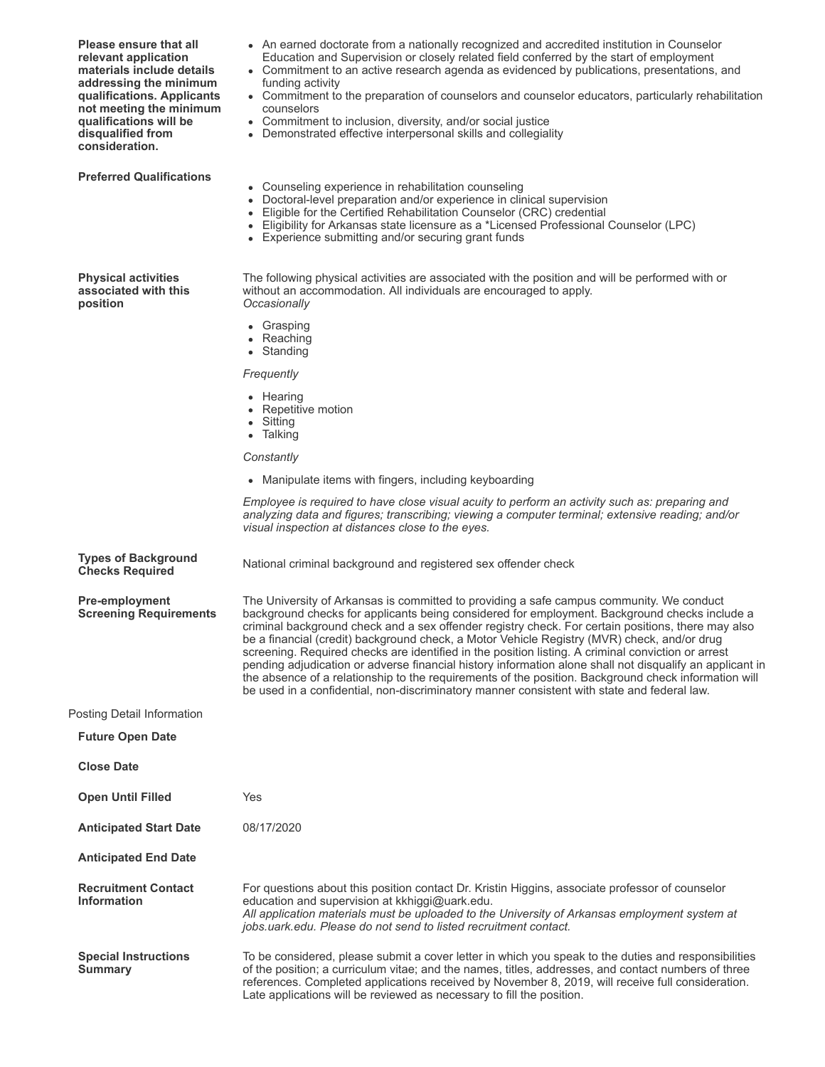| Please ensure that all<br>relevant application<br>materials include details<br>addressing the minimum<br>qualifications. Applicants<br>not meeting the minimum<br>qualifications will be<br>disqualified from<br>consideration. | • An earned doctorate from a nationally recognized and accredited institution in Counselor<br>Education and Supervision or closely related field conferred by the start of employment<br>• Commitment to an active research agenda as evidenced by publications, presentations, and<br>funding activity<br>• Commitment to the preparation of counselors and counselor educators, particularly rehabilitation<br>counselors<br>• Commitment to inclusion, diversity, and/or social justice<br>• Demonstrated effective interpersonal skills and collegiality                                                                                                                                                                                                                                                            |
|---------------------------------------------------------------------------------------------------------------------------------------------------------------------------------------------------------------------------------|-------------------------------------------------------------------------------------------------------------------------------------------------------------------------------------------------------------------------------------------------------------------------------------------------------------------------------------------------------------------------------------------------------------------------------------------------------------------------------------------------------------------------------------------------------------------------------------------------------------------------------------------------------------------------------------------------------------------------------------------------------------------------------------------------------------------------|
| <b>Preferred Qualifications</b>                                                                                                                                                                                                 | • Counseling experience in rehabilitation counseling<br>• Doctoral-level preparation and/or experience in clinical supervision<br>• Eligible for the Certified Rehabilitation Counselor (CRC) credential<br>• Eligibility for Arkansas state licensure as a *Licensed Professional Counselor (LPC)<br>• Experience submitting and/or securing grant funds                                                                                                                                                                                                                                                                                                                                                                                                                                                               |
| <b>Physical activities</b><br>associated with this<br>position                                                                                                                                                                  | The following physical activities are associated with the position and will be performed with or<br>without an accommodation. All individuals are encouraged to apply.<br>Occasionally<br>• Grasping                                                                                                                                                                                                                                                                                                                                                                                                                                                                                                                                                                                                                    |
|                                                                                                                                                                                                                                 | • Reaching<br>• Standing                                                                                                                                                                                                                                                                                                                                                                                                                                                                                                                                                                                                                                                                                                                                                                                                |
|                                                                                                                                                                                                                                 | Frequently                                                                                                                                                                                                                                                                                                                                                                                                                                                                                                                                                                                                                                                                                                                                                                                                              |
|                                                                                                                                                                                                                                 | • Hearing<br>• Repetitive motion<br>• Sitting<br>• Talking                                                                                                                                                                                                                                                                                                                                                                                                                                                                                                                                                                                                                                                                                                                                                              |
|                                                                                                                                                                                                                                 | Constantly                                                                                                                                                                                                                                                                                                                                                                                                                                                                                                                                                                                                                                                                                                                                                                                                              |
|                                                                                                                                                                                                                                 | • Manipulate items with fingers, including keyboarding                                                                                                                                                                                                                                                                                                                                                                                                                                                                                                                                                                                                                                                                                                                                                                  |
|                                                                                                                                                                                                                                 | Employee is required to have close visual acuity to perform an activity such as: preparing and<br>analyzing data and figures; transcribing; viewing a computer terminal; extensive reading; and/or<br>visual inspection at distances close to the eyes.                                                                                                                                                                                                                                                                                                                                                                                                                                                                                                                                                                 |
| <b>Types of Background</b><br><b>Checks Required</b>                                                                                                                                                                            | National criminal background and registered sex offender check                                                                                                                                                                                                                                                                                                                                                                                                                                                                                                                                                                                                                                                                                                                                                          |
| <b>Pre-employment</b><br><b>Screening Requirements</b>                                                                                                                                                                          | The University of Arkansas is committed to providing a safe campus community. We conduct<br>background checks for applicants being considered for employment. Background checks include a<br>criminal background check and a sex offender registry check. For certain positions, there may also<br>be a financial (credit) background check, a Motor Vehicle Registry (MVR) check, and/or drug<br>screening. Required checks are identified in the position listing. A criminal conviction or arrest<br>pending adjudication or adverse financial history information alone shall not disqualify an applicant in<br>the absence of a relationship to the requirements of the position. Background check information will<br>be used in a confidential, non-discriminatory manner consistent with state and federal law. |
| Posting Detail Information                                                                                                                                                                                                      |                                                                                                                                                                                                                                                                                                                                                                                                                                                                                                                                                                                                                                                                                                                                                                                                                         |
| <b>Future Open Date</b>                                                                                                                                                                                                         |                                                                                                                                                                                                                                                                                                                                                                                                                                                                                                                                                                                                                                                                                                                                                                                                                         |
| <b>Close Date</b>                                                                                                                                                                                                               |                                                                                                                                                                                                                                                                                                                                                                                                                                                                                                                                                                                                                                                                                                                                                                                                                         |
| <b>Open Until Filled</b>                                                                                                                                                                                                        | Yes                                                                                                                                                                                                                                                                                                                                                                                                                                                                                                                                                                                                                                                                                                                                                                                                                     |
| <b>Anticipated Start Date</b>                                                                                                                                                                                                   | 08/17/2020                                                                                                                                                                                                                                                                                                                                                                                                                                                                                                                                                                                                                                                                                                                                                                                                              |
| <b>Anticipated End Date</b>                                                                                                                                                                                                     |                                                                                                                                                                                                                                                                                                                                                                                                                                                                                                                                                                                                                                                                                                                                                                                                                         |
| <b>Recruitment Contact</b><br><b>Information</b>                                                                                                                                                                                | For questions about this position contact Dr. Kristin Higgins, associate professor of counselor<br>education and supervision at kkhiggi@uark.edu.<br>All application materials must be uploaded to the University of Arkansas employment system at<br>jobs.uark.edu. Please do not send to listed recruitment contact.                                                                                                                                                                                                                                                                                                                                                                                                                                                                                                  |
| <b>Special Instructions</b><br><b>Summary</b>                                                                                                                                                                                   | To be considered, please submit a cover letter in which you speak to the duties and responsibilities<br>of the position; a curriculum vitae; and the names, titles, addresses, and contact numbers of three<br>references. Completed applications received by November 8, 2019, will receive full consideration.<br>Late applications will be reviewed as necessary to fill the position.                                                                                                                                                                                                                                                                                                                                                                                                                               |